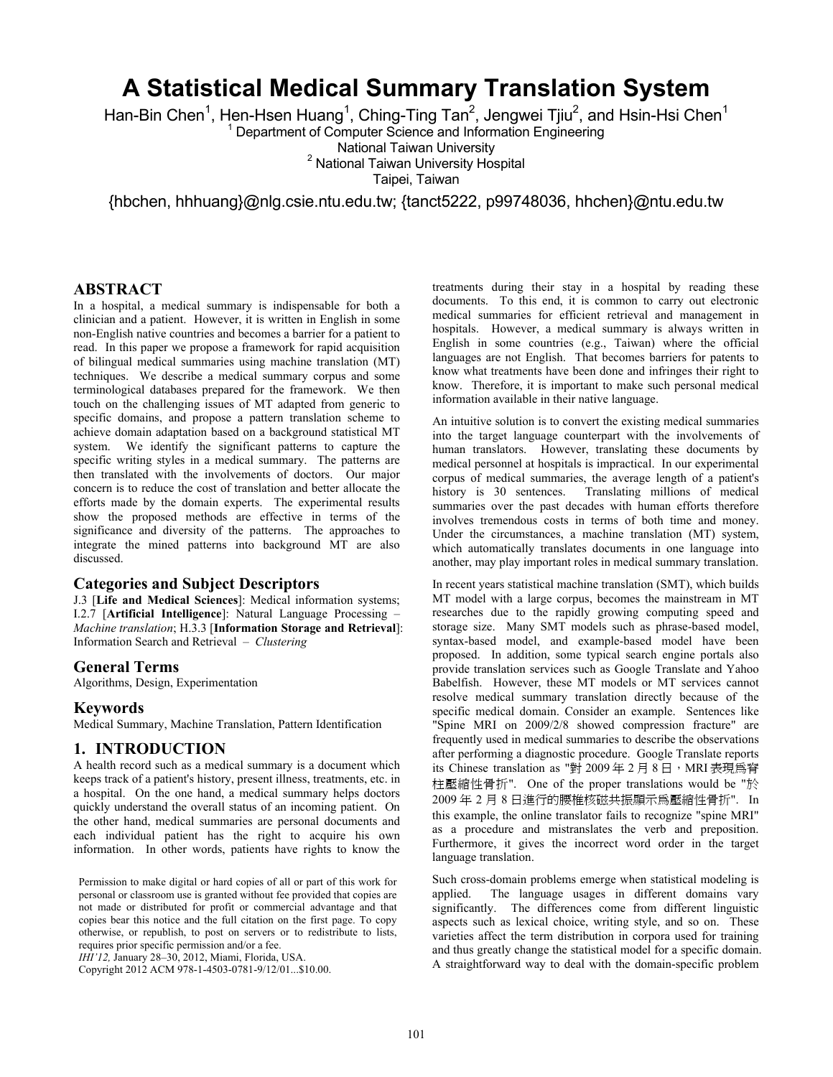# **A Statistical Medical Summary Translation System**

Han-Bin Chen<sup>1</sup>, Hen-Hsen Huang<sup>1</sup>, Ching-Ting Tan<sup>2</sup>, Jengwei Tjiu<sup>2</sup>, and Hsin-Hsi Chen<sup>1</sup>

<sup>1</sup> Department of Computer Science and Information Engineering

National Taiwan University 2

<sup>2</sup> National Taiwan University Hospital

Taipei, Taiwan

{hbchen, hhhuang}@nlg.csie.ntu.edu.tw; {tanct5222, p99748036, hhchen}@ntu.edu.tw

### **ABSTRACT**

In a hospital, a medical summary is indispensable for both a clinician and a patient. However, it is written in English in some non-English native countries and becomes a barrier for a patient to read. In this paper we propose a framework for rapid acquisition of bilingual medical summaries using machine translation (MT) techniques. We describe a medical summary corpus and some terminological databases prepared for the framework. We then touch on the challenging issues of MT adapted from generic to specific domains, and propose a pattern translation scheme to achieve domain adaptation based on a background statistical MT system. We identify the significant patterns to capture the specific writing styles in a medical summary. The patterns are then translated with the involvements of doctors. Our major concern is to reduce the cost of translation and better allocate the efforts made by the domain experts. The experimental results show the proposed methods are effective in terms of the significance and diversity of the patterns. The approaches to integrate the mined patterns into background MT are also discussed.

#### **Categories and Subject Descriptors**

J.3 [**Life and Medical Sciences**]: Medical information systems; I.2.7 [**Artificial Intelligence**]: Natural Language Processing – *Machine translation*; H.3.3 [**Information Storage and Retrieval**]: Information Search and Retrieval – *Clustering*

#### **General Terms**

Algorithms, Design, Experimentation

#### **Keywords**

Medical Summary, Machine Translation, Pattern Identification

### **1. INTRODUCTION**

A health record such as a medical summary is a document which keeps track of a patient's history, present illness, treatments, etc. in a hospital. On the one hand, a medical summary helps doctors quickly understand the overall status of an incoming patient. On the other hand, medical summaries are personal documents and each individual patient has the right to acquire his own information. In other words, patients have rights to know the

Permission to make digital or hard copies of all or part of this work for personal or classroom use is granted without fee provided that copies are not made or distributed for profit or commercial advantage and that copies bear this notice and the full citation on the first page. To copy otherwise, or republish, to post on servers or to redistribute to lists, requires prior specific permission and/or a fee.

*IHI'12,* January 28–30, 2012, Miami, Florida, USA.

Copyright 2012 ACM 978-1-4503-0781-9/12/01...\$10.00.

treatments during their stay in a hospital by reading these documents. To this end, it is common to carry out electronic medical summaries for efficient retrieval and management in hospitals. However, a medical summary is always written in English in some countries (e.g., Taiwan) where the official languages are not English. That becomes barriers for patents to know what treatments have been done and infringes their right to know. Therefore, it is important to make such personal medical information available in their native language.

An intuitive solution is to convert the existing medical summaries into the target language counterpart with the involvements of human translators. However, translating these documents by medical personnel at hospitals is impractical. In our experimental corpus of medical summaries, the average length of a patient's history is 30 sentences. Translating millions of medical summaries over the past decades with human efforts therefore involves tremendous costs in terms of both time and money. Under the circumstances, a machine translation (MT) system, which automatically translates documents in one language into another, may play important roles in medical summary translation.

In recent years statistical machine translation (SMT), which builds MT model with a large corpus, becomes the mainstream in MT researches due to the rapidly growing computing speed and storage size. Many SMT models such as phrase-based model, syntax-based model, and example-based model have been proposed. In addition, some typical search engine portals also provide translation services such as Google Translate and Yahoo Babelfish. However, these MT models or MT services cannot resolve medical summary translation directly because of the specific medical domain. Consider an example. Sentences like "Spine MRI on 2009/2/8 showed compression fracture" are frequently used in medical summaries to describe the observations after performing a diagnostic procedure. Google Translate reports its Chinese translation as "對 2009年2月8日, MRI 表現為脊 柱壓縮性骨折". One of the proper translations would be "於 2009 年 2 月 8 日進行的腰椎核磁共振顯示為壓縮性骨折". In this example, the online translator fails to recognize "spine MRI" as a procedure and mistranslates the verb and preposition. Furthermore, it gives the incorrect word order in the target language translation.

Such cross-domain problems emerge when statistical modeling is applied. The language usages in different domains vary significantly. The differences come from different linguistic aspects such as lexical choice, writing style, and so on. These varieties affect the term distribution in corpora used for training and thus greatly change the statistical model for a specific domain. A straightforward way to deal with the domain-specific problem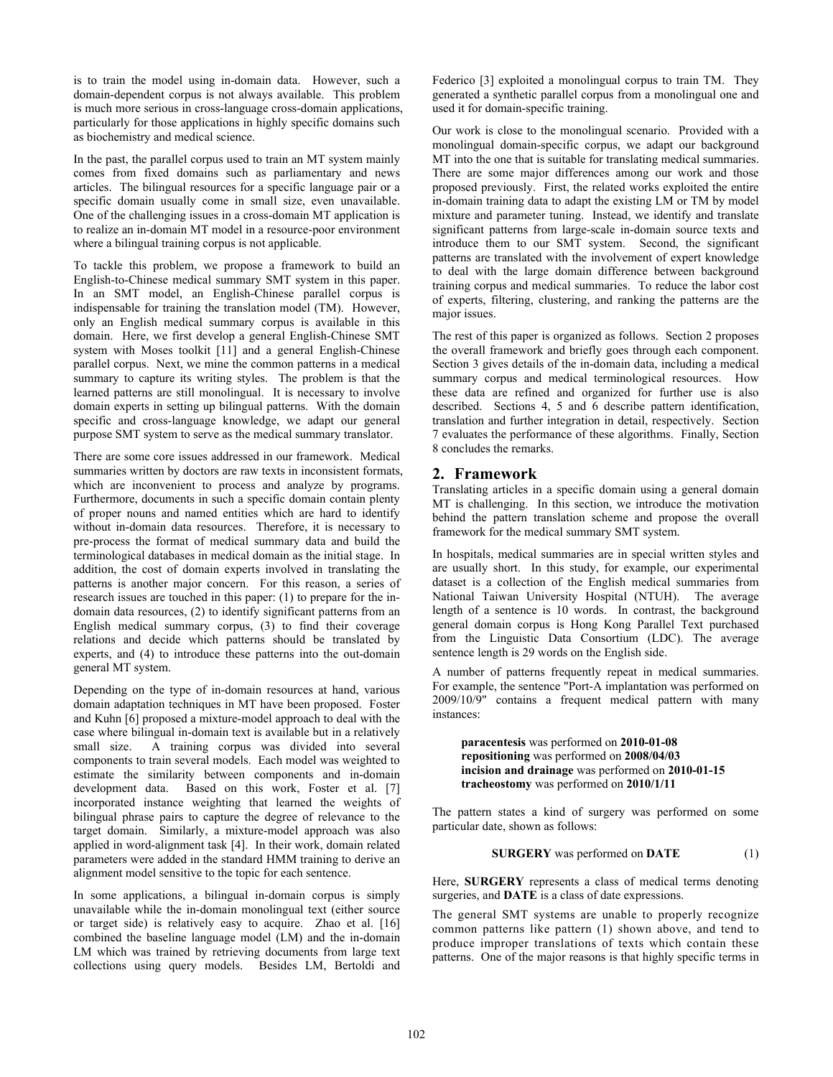is to train the model using in-domain data. However, such a domain-dependent corpus is not always available. This problem is much more serious in cross-language cross-domain applications, particularly for those applications in highly specific domains such as biochemistry and medical science.

In the past, the parallel corpus used to train an MT system mainly comes from fixed domains such as parliamentary and news articles. The bilingual resources for a specific language pair or a specific domain usually come in small size, even unavailable. One of the challenging issues in a cross-domain MT application is to realize an in-domain MT model in a resource-poor environment where a bilingual training corpus is not applicable.

To tackle this problem, we propose a framework to build an English-to-Chinese medical summary SMT system in this paper. In an SMT model, an English-Chinese parallel corpus is indispensable for training the translation model (TM). However, only an English medical summary corpus is available in this domain. Here, we first develop a general English-Chinese SMT system with Moses toolkit [11] and a general English-Chinese parallel corpus. Next, we mine the common patterns in a medical summary to capture its writing styles. The problem is that the learned patterns are still monolingual. It is necessary to involve domain experts in setting up bilingual patterns. With the domain specific and cross-language knowledge, we adapt our general purpose SMT system to serve as the medical summary translator.

There are some core issues addressed in our framework. Medical summaries written by doctors are raw texts in inconsistent formats, which are inconvenient to process and analyze by programs. Furthermore, documents in such a specific domain contain plenty of proper nouns and named entities which are hard to identify without in-domain data resources. Therefore, it is necessary to pre-process the format of medical summary data and build the terminological databases in medical domain as the initial stage. In addition, the cost of domain experts involved in translating the patterns is another major concern. For this reason, a series of research issues are touched in this paper: (1) to prepare for the indomain data resources, (2) to identify significant patterns from an English medical summary corpus, (3) to find their coverage relations and decide which patterns should be translated by experts, and (4) to introduce these patterns into the out-domain general MT system.

Depending on the type of in-domain resources at hand, various domain adaptation techniques in MT have been proposed. Foster and Kuhn [6] proposed a mixture-model approach to deal with the case where bilingual in-domain text is available but in a relatively small size. A training corpus was divided into several components to train several models. Each model was weighted to estimate the similarity between components and in-domain development data. Based on this work, Foster et al. [7] incorporated instance weighting that learned the weights of bilingual phrase pairs to capture the degree of relevance to the target domain. Similarly, a mixture-model approach was also applied in word-alignment task [4]. In their work, domain related parameters were added in the standard HMM training to derive an alignment model sensitive to the topic for each sentence.

In some applications, a bilingual in-domain corpus is simply unavailable while the in-domain monolingual text (either source or target side) is relatively easy to acquire. Zhao et al. [16] combined the baseline language model (LM) and the in-domain LM which was trained by retrieving documents from large text collections using query models. Besides LM, Bertoldi and Federico [3] exploited a monolingual corpus to train TM. They generated a synthetic parallel corpus from a monolingual one and used it for domain-specific training.

Our work is close to the monolingual scenario. Provided with a monolingual domain-specific corpus, we adapt our background MT into the one that is suitable for translating medical summaries. There are some major differences among our work and those proposed previously. First, the related works exploited the entire in-domain training data to adapt the existing LM or TM by model mixture and parameter tuning. Instead, we identify and translate significant patterns from large-scale in-domain source texts and introduce them to our SMT system. Second, the significant patterns are translated with the involvement of expert knowledge to deal with the large domain difference between background training corpus and medical summaries. To reduce the labor cost of experts, filtering, clustering, and ranking the patterns are the major issues.

The rest of this paper is organized as follows. Section 2 proposes the overall framework and briefly goes through each component. Section 3 gives details of the in-domain data, including a medical summary corpus and medical terminological resources. How these data are refined and organized for further use is also described. Sections 4, 5 and 6 describe pattern identification, translation and further integration in detail, respectively. Section 7 evaluates the performance of these algorithms. Finally, Section 8 concludes the remarks.

# **2. Framework**

Translating articles in a specific domain using a general domain MT is challenging. In this section, we introduce the motivation behind the pattern translation scheme and propose the overall framework for the medical summary SMT system.

In hospitals, medical summaries are in special written styles and are usually short. In this study, for example, our experimental dataset is a collection of the English medical summaries from National Taiwan University Hospital (NTUH). The average length of a sentence is 10 words. In contrast, the background general domain corpus is Hong Kong Parallel Text purchased from the Linguistic Data Consortium (LDC). The average sentence length is 29 words on the English side.

A number of patterns frequently repeat in medical summaries. For example, the sentence "Port-A implantation was performed on 2009/10/9" contains a frequent medical pattern with many instances:

**paracentesis** was performed on **2010-01-08 repositioning** was performed on **2008/04/03 incision and drainage** was performed on **2010-01-15 tracheostomy** was performed on **2010/1/11**

The pattern states a kind of surgery was performed on some particular date, shown as follows:

### **SURGERY** was performed on **DATE** (1)

Here, **SURGERY** represents a class of medical terms denoting surgeries, and **DATE** is a class of date expressions.

The general SMT systems are unable to properly recognize common patterns like pattern (1) shown above, and tend to produce improper translations of texts which contain these patterns. One of the major reasons is that highly specific terms in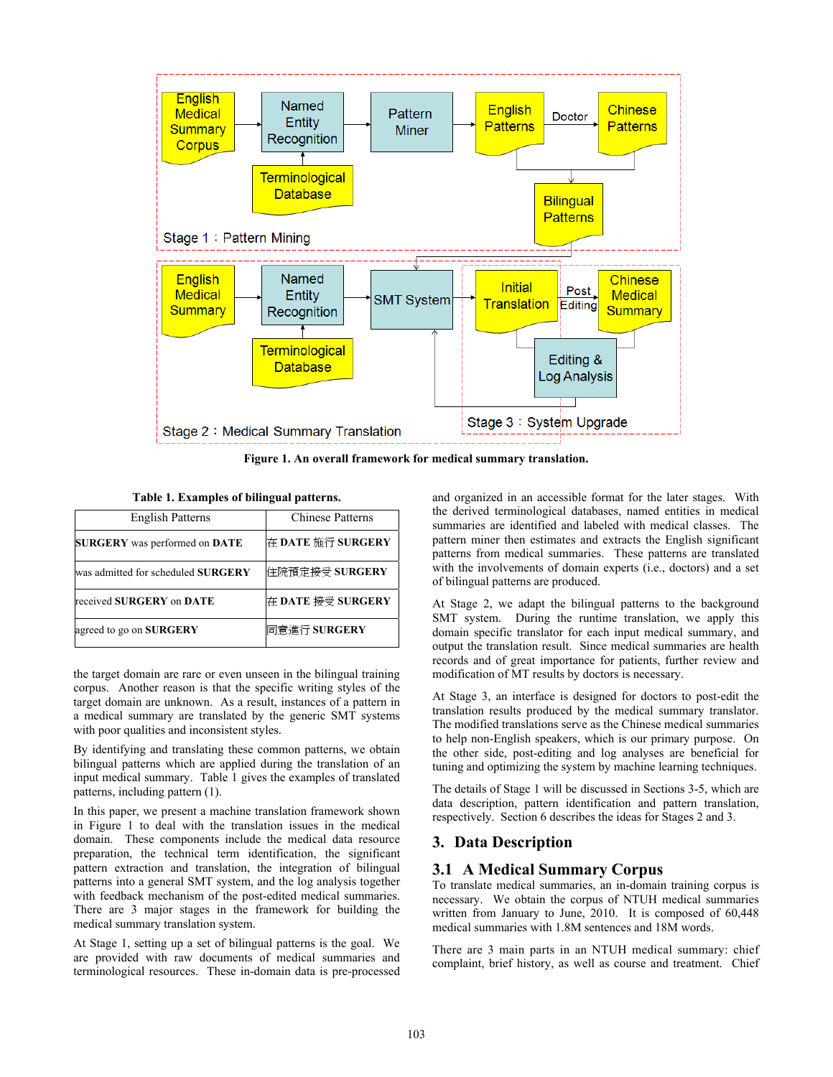

**Figure 1. An overall framework for medical summary translation.** 

|  |  | Table 1. Examples of bilingual patterns. |  |
|--|--|------------------------------------------|--|
|--|--|------------------------------------------|--|

| <b>English Patterns</b>              | <b>Chinese Patterns</b> |  |
|--------------------------------------|-------------------------|--|
| <b>SURGERY</b> was performed on DATE | 在 DATE 施行 SURGERY       |  |
| was admitted for scheduled SURGERY   | 住院預定接受 SURGERY          |  |
| received SURGERY on DATE             | 在 DATE 接受 SURGERY       |  |
| agreed to go on SURGERY              | 同意進行 SURGERY            |  |

the target domain are rare or even unseen in the bilingual training corpus. Another reason is that the specific writing styles of the target domain are unknown. As a result, instances of a pattern in a medical summary are translated by the generic SMT systems with poor qualities and inconsistent styles.

By identifying and translating these common patterns, we obtain bilingual patterns which are applied during the translation of an input medical summary. Table 1 gives the examples of translated patterns, including pattern (1).

In this paper, we present a machine translation framework shown in Figure 1 to deal with the translation issues in the medical domain. These components include the medical data resource preparation, the technical term identification, the significant pattern extraction and translation, the integration of bilingual patterns into a general SMT system, and the log analysis together with feedback mechanism of the post-edited medical summaries. There are 3 major stages in the framework for building the medical summary translation system.

At Stage 1, setting up a set of bilingual patterns is the goal. We are provided with raw documents of medical summaries and terminological resources. These in-domain data is pre-processed and organized in an accessible format for the later stages. With the derived terminological databases, named entities in medical summaries are identified and labeled with medical classes. The pattern miner then estimates and extracts the English significant patterns from medical summaries. These patterns are translated with the involvements of domain experts (i.e., doctors) and a set of bilingual patterns are produced.

At Stage 2, we adapt the bilingual patterns to the background SMT system. During the runtime translation, we apply this domain specific translator for each input medical summary, and output the translation result. Since medical summaries are health records and of great importance for patients, further review and modification of MT results by doctors is necessary.

At Stage 3, an interface is designed for doctors to post-edit the translation results produced by the medical summary translator. The modified translations serve as the Chinese medical summaries to help non-English speakers, which is our primary purpose. On the other side, post-editing and log analyses are beneficial for tuning and optimizing the system by machine learning techniques.

The details of Stage 1 will be discussed in Sections 3-5, which are data description, pattern identification and pattern translation, respectively. Section 6 describes the ideas for Stages 2 and 3.

# **3. Data Description**

# **3.1 A Medical Summary Corpus**

To translate medical summaries, an in-domain training corpus is necessary. We obtain the corpus of NTUH medical summaries written from January to June, 2010. It is composed of 60,448 medical summaries with 1.8M sentences and 18M words.

There are 3 main parts in an NTUH medical summary: chief complaint, brief history, as well as course and treatment. Chief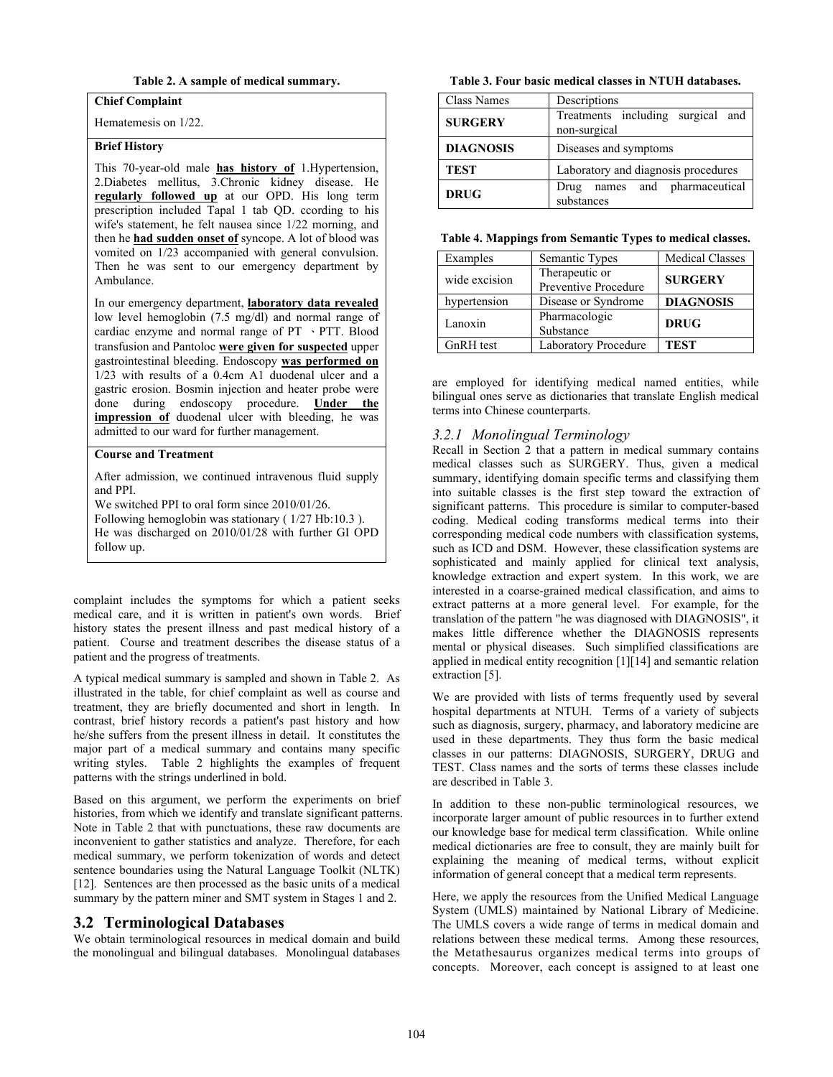#### **Table 2. A sample of medical summary.**

### **Chief Complaint**

Hematemesis on 1/22.

#### **Brief History**

This 70-year-old male **has history of** 1.Hypertension, 2.Diabetes mellitus, 3.Chronic kidney disease. He **regularly followed up** at our OPD. His long term prescription included Tapal 1 tab QD. ccording to his wife's statement, he felt nausea since 1/22 morning, and then he **had sudden onset of** syncope. A lot of blood was vomited on 1/23 accompanied with general convulsion. Then he was sent to our emergency department by Ambulance.

In our emergency department, **laboratory data revealed** low level hemoglobin (7.5 mg/dl) and normal range of cardiac enzyme and normal range of PT 、PTT. Blood transfusion and Pantoloc **were given for suspected** upper gastrointestinal bleeding. Endoscopy **was performed on** 1/23 with results of a 0.4cm A1 duodenal ulcer and a gastric erosion. Bosmin injection and heater probe were done during endoscopy procedure. **Under the impression of** duodenal ulcer with bleeding, he was admitted to our ward for further management.

#### **Course and Treatment**

After admission, we continued intravenous fluid supply and PPI.

We switched PPI to oral form since 2010/01/26. Following hemoglobin was stationary ( 1/27 Hb:10.3 ). He was discharged on 2010/01/28 with further GI OPD follow up.

complaint includes the symptoms for which a patient seeks medical care, and it is written in patient's own words. Brief history states the present illness and past medical history of a patient. Course and treatment describes the disease status of a patient and the progress of treatments.

A typical medical summary is sampled and shown in Table 2. As illustrated in the table, for chief complaint as well as course and treatment, they are briefly documented and short in length. In contrast, brief history records a patient's past history and how he/she suffers from the present illness in detail. It constitutes the major part of a medical summary and contains many specific writing styles. Table 2 highlights the examples of frequent patterns with the strings underlined in bold.

Based on this argument, we perform the experiments on brief histories, from which we identify and translate significant patterns. Note in Table 2 that with punctuations, these raw documents are inconvenient to gather statistics and analyze. Therefore, for each medical summary, we perform tokenization of words and detect sentence boundaries using the Natural Language Toolkit (NLTK) [12]. Sentences are then processed as the basic units of a medical summary by the pattern miner and SMT system in Stages 1 and 2.

# **3.2 Terminological Databases**

We obtain terminological resources in medical domain and build the monolingual and bilingual databases. Monolingual databases

#### **Table 3. Four basic medical classes in NTUH databases.**

| Class Names      | Descriptions                                      |  |  |
|------------------|---------------------------------------------------|--|--|
| <b>SURGERY</b>   | Treatments including surgical and<br>non-surgical |  |  |
| <b>DIAGNOSIS</b> | Diseases and symptoms                             |  |  |
| <b>TEST</b>      | Laboratory and diagnosis procedures               |  |  |
| <b>DRUG</b>      | names and pharmaceutical<br>Drug<br>substances    |  |  |

| Table 4. Mappings from Semantic Types to medical classes. |  |
|-----------------------------------------------------------|--|
|-----------------------------------------------------------|--|

| Examples      | Semantic Types                         | <b>Medical Classes</b> |
|---------------|----------------------------------------|------------------------|
| wide excision | Therapeutic or<br>Preventive Procedure | <b>SURGERY</b>         |
| hypertension  | Disease or Syndrome                    | <b>DIAGNOSIS</b>       |
| Lanoxin       | Pharmacologic<br>Substance             | <b>DRUG</b>            |
| GnRH test     | <b>Laboratory Procedure</b>            | <b>TEST</b>            |

are employed for identifying medical named entities, while bilingual ones serve as dictionaries that translate English medical terms into Chinese counterparts.

# *3.2.1 Monolingual Terminology*

Recall in Section 2 that a pattern in medical summary contains medical classes such as SURGERY. Thus, given a medical summary, identifying domain specific terms and classifying them into suitable classes is the first step toward the extraction of significant patterns. This procedure is similar to computer-based coding. Medical coding transforms medical terms into their corresponding medical code numbers with classification systems, such as ICD and DSM. However, these classification systems are sophisticated and mainly applied for clinical text analysis, knowledge extraction and expert system. In this work, we are interested in a coarse-grained medical classification, and aims to extract patterns at a more general level. For example, for the translation of the pattern "he was diagnosed with DIAGNOSIS", it makes little difference whether the DIAGNOSIS represents mental or physical diseases. Such simplified classifications are applied in medical entity recognition [1][14] and semantic relation extraction [5].

We are provided with lists of terms frequently used by several hospital departments at NTUH. Terms of a variety of subjects such as diagnosis, surgery, pharmacy, and laboratory medicine are used in these departments. They thus form the basic medical classes in our patterns: DIAGNOSIS, SURGERY, DRUG and TEST. Class names and the sorts of terms these classes include are described in Table 3.

In addition to these non-public terminological resources, we incorporate larger amount of public resources in to further extend our knowledge base for medical term classification. While online medical dictionaries are free to consult, they are mainly built for explaining the meaning of medical terms, without explicit information of general concept that a medical term represents.

Here, we apply the resources from the Unified Medical Language System (UMLS) maintained by National Library of Medicine. The UMLS covers a wide range of terms in medical domain and relations between these medical terms. Among these resources, the Metathesaurus organizes medical terms into groups of concepts. Moreover, each concept is assigned to at least one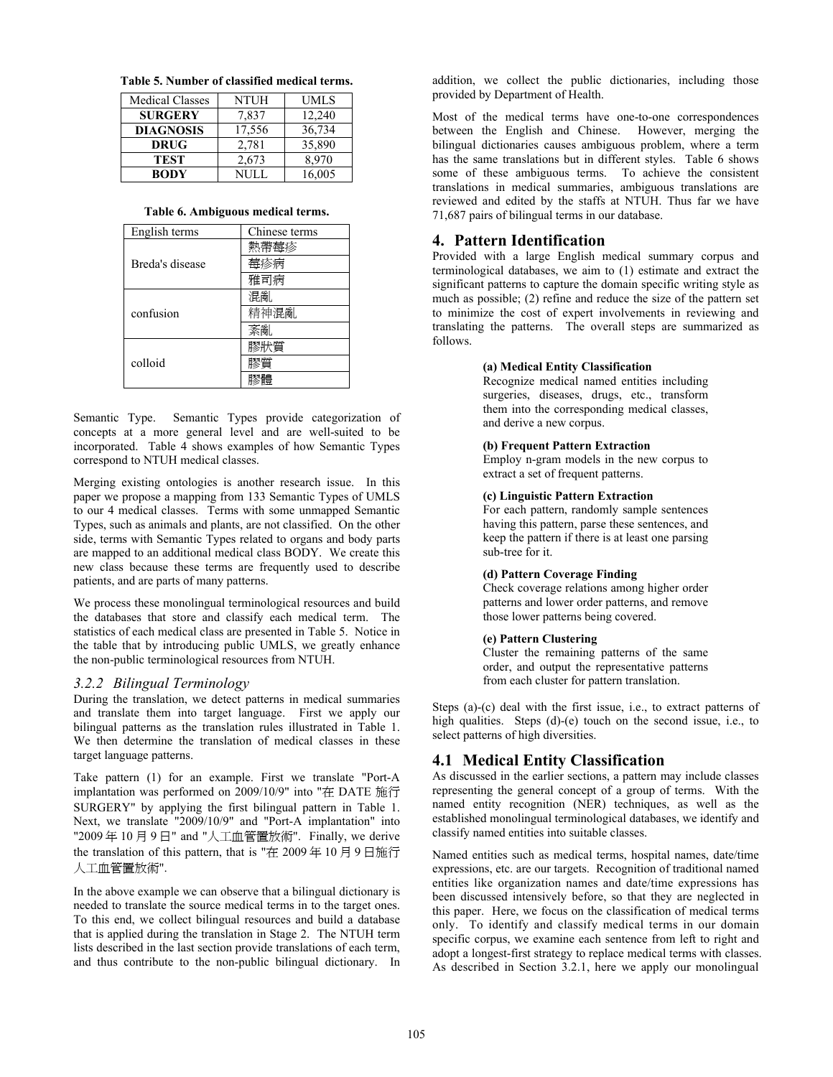**Table 5. Number of classified medical terms.** 

| <b>Medical Classes</b> | <b>NTUH</b> | UMLS   |
|------------------------|-------------|--------|
| <b>SURGERY</b>         | 7,837       | 12,240 |
| <b>DIAGNOSIS</b>       | 17,556      | 36,734 |
| <b>DRUG</b>            | 2,781       | 35,890 |
| <b>TEST</b>            | 2,673       | 8.970  |
| BODY                   | NHI I       | 16,005 |

**Table 6. Ambiguous medical terms.** 

| English terms   | Chinese terms |
|-----------------|---------------|
|                 | 熱帶莓疹          |
| Breda's disease | 莓疹病           |
|                 | 雅司病           |
|                 | 混亂            |
| confusion       | 精神混亂          |
|                 | 紊亂            |
|                 | 膠狀質           |
| colloid         | 膠質            |
|                 |               |

Semantic Type. Semantic Types provide categorization of concepts at a more general level and are well-suited to be incorporated. Table 4 shows examples of how Semantic Types correspond to NTUH medical classes.

Merging existing ontologies is another research issue. In this paper we propose a mapping from 133 Semantic Types of UMLS to our 4 medical classes. Terms with some unmapped Semantic Types, such as animals and plants, are not classified. On the other side, terms with Semantic Types related to organs and body parts are mapped to an additional medical class BODY. We create this new class because these terms are frequently used to describe patients, and are parts of many patterns.

We process these monolingual terminological resources and build the databases that store and classify each medical term. The statistics of each medical class are presented in Table 5. Notice in the table that by introducing public UMLS, we greatly enhance the non-public terminological resources from NTUH.

#### *3.2.2 Bilingual Terminology*

During the translation, we detect patterns in medical summaries and translate them into target language. First we apply our bilingual patterns as the translation rules illustrated in Table 1. We then determine the translation of medical classes in these target language patterns.

Take pattern (1) for an example. First we translate "Port-A implantation was performed on 2009/10/9" into "在 DATE 施行 SURGERY" by applying the first bilingual pattern in Table 1. Next, we translate "2009/10/9" and "Port-A implantation" into "2009 年 10 月 9 日" and "人工血管置放術". Finally, we derive the translation of this pattern, that is "在 2009 年 10 月 9 日施行 人工血管置放術".

In the above example we can observe that a bilingual dictionary is needed to translate the source medical terms in to the target ones. To this end, we collect bilingual resources and build a database that is applied during the translation in Stage 2. The NTUH term lists described in the last section provide translations of each term, and thus contribute to the non-public bilingual dictionary. In

addition, we collect the public dictionaries, including those provided by Department of Health.

Most of the medical terms have one-to-one correspondences between the English and Chinese. However, merging the bilingual dictionaries causes ambiguous problem, where a term has the same translations but in different styles. Table 6 shows some of these ambiguous terms. To achieve the consistent translations in medical summaries, ambiguous translations are reviewed and edited by the staffs at NTUH. Thus far we have 71,687 pairs of bilingual terms in our database.

### **4. Pattern Identification**

Provided with a large English medical summary corpus and terminological databases, we aim to (1) estimate and extract the significant patterns to capture the domain specific writing style as much as possible; (2) refine and reduce the size of the pattern set to minimize the cost of expert involvements in reviewing and translating the patterns. The overall steps are summarized as follows.

# **(a) Medical Entity Classification**

Recognize medical named entities including surgeries, diseases, drugs, etc., transform them into the corresponding medical classes, and derive a new corpus.

#### **(b) Frequent Pattern Extraction**

Employ n-gram models in the new corpus to extract a set of frequent patterns.

#### **(c) Linguistic Pattern Extraction**

For each pattern, randomly sample sentences having this pattern, parse these sentences, and keep the pattern if there is at least one parsing sub-tree for it.

#### **(d) Pattern Coverage Finding**

Check coverage relations among higher order patterns and lower order patterns, and remove those lower patterns being covered.

#### **(e) Pattern Clustering**

Cluster the remaining patterns of the same order, and output the representative patterns from each cluster for pattern translation.

Steps (a)-(c) deal with the first issue, i.e., to extract patterns of high qualities. Steps (d)-(e) touch on the second issue, i.e., to select patterns of high diversities.

# **4.1 Medical Entity Classification**

As discussed in the earlier sections, a pattern may include classes representing the general concept of a group of terms. With the named entity recognition (NER) techniques, as well as the established monolingual terminological databases, we identify and classify named entities into suitable classes.

Named entities such as medical terms, hospital names, date/time expressions, etc. are our targets. Recognition of traditional named entities like organization names and date/time expressions has been discussed intensively before, so that they are neglected in this paper. Here, we focus on the classification of medical terms only. To identify and classify medical terms in our domain specific corpus, we examine each sentence from left to right and adopt a longest-first strategy to replace medical terms with classes. As described in Section 3.2.1, here we apply our monolingual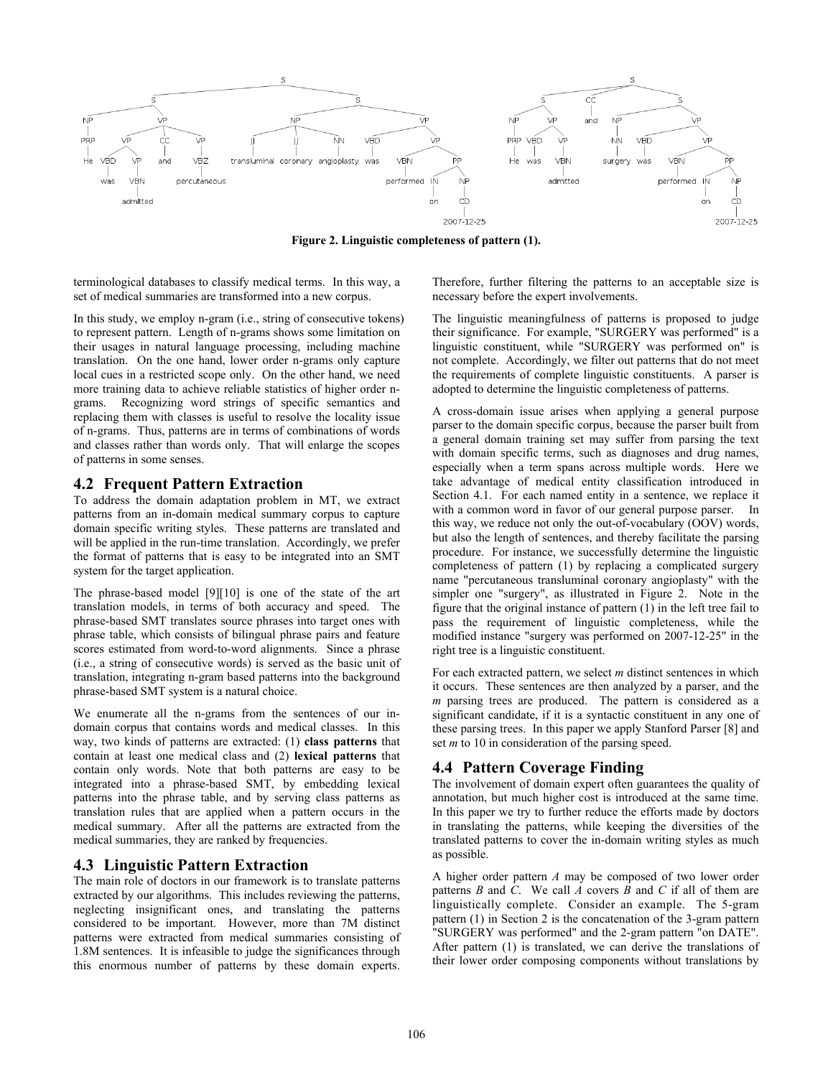

**Figure 2. Linguistic completeness of pattern (1).** 

terminological databases to classify medical terms. In this way, a set of medical summaries are transformed into a new corpus.

In this study, we employ n-gram (i.e., string of consecutive tokens) to represent pattern. Length of n-grams shows some limitation on their usages in natural language processing, including machine translation. On the one hand, lower order n-grams only capture local cues in a restricted scope only. On the other hand, we need more training data to achieve reliable statistics of higher order ngrams. Recognizing word strings of specific semantics and replacing them with classes is useful to resolve the locality issue of n-grams. Thus, patterns are in terms of combinations of words and classes rather than words only. That will enlarge the scopes of patterns in some senses.

# **4.2 Frequent Pattern Extraction**

To address the domain adaptation problem in MT, we extract patterns from an in-domain medical summary corpus to capture domain specific writing styles. These patterns are translated and will be applied in the run-time translation. Accordingly, we prefer the format of patterns that is easy to be integrated into an SMT system for the target application.

The phrase-based model [9][10] is one of the state of the art translation models, in terms of both accuracy and speed. The phrase-based SMT translates source phrases into target ones with phrase table, which consists of bilingual phrase pairs and feature scores estimated from word-to-word alignments. Since a phrase (i.e., a string of consecutive words) is served as the basic unit of translation, integrating n-gram based patterns into the background phrase-based SMT system is a natural choice.

We enumerate all the n-grams from the sentences of our indomain corpus that contains words and medical classes. In this way, two kinds of patterns are extracted: (1) **class patterns** that contain at least one medical class and (2) **lexical patterns** that contain only words. Note that both patterns are easy to be integrated into a phrase-based SMT, by embedding lexical patterns into the phrase table, and by serving class patterns as translation rules that are applied when a pattern occurs in the medical summary. After all the patterns are extracted from the medical summaries, they are ranked by frequencies.

# **4.3 Linguistic Pattern Extraction**

The main role of doctors in our framework is to translate patterns extracted by our algorithms. This includes reviewing the patterns, neglecting insignificant ones, and translating the patterns considered to be important. However, more than 7M distinct patterns were extracted from medical summaries consisting of 1.8M sentences. It is infeasible to judge the significances through this enormous number of patterns by these domain experts.

Therefore, further filtering the patterns to an acceptable size is necessary before the expert involvements.

The linguistic meaningfulness of patterns is proposed to judge their significance. For example, "SURGERY was performed" is a linguistic constituent, while "SURGERY was performed on" is not complete. Accordingly, we filter out patterns that do not meet the requirements of complete linguistic constituents. A parser is adopted to determine the linguistic completeness of patterns.

A cross-domain issue arises when applying a general purpose parser to the domain specific corpus, because the parser built from a general domain training set may suffer from parsing the text with domain specific terms, such as diagnoses and drug names, especially when a term spans across multiple words. Here we take advantage of medical entity classification introduced in Section 4.1. For each named entity in a sentence, we replace it with a common word in favor of our general purpose parser. In this way, we reduce not only the out-of-vocabulary (OOV) words, but also the length of sentences, and thereby facilitate the parsing procedure. For instance, we successfully determine the linguistic completeness of pattern (1) by replacing a complicated surgery name "percutaneous transluminal coronary angioplasty" with the simpler one "surgery", as illustrated in Figure 2. Note in the figure that the original instance of pattern (1) in the left tree fail to pass the requirement of linguistic completeness, while the modified instance "surgery was performed on 2007-12-25" in the right tree is a linguistic constituent.

For each extracted pattern, we select *m* distinct sentences in which it occurs. These sentences are then analyzed by a parser, and the *m* parsing trees are produced. The pattern is considered as a significant candidate, if it is a syntactic constituent in any one of these parsing trees. In this paper we apply Stanford Parser [8] and set *m* to 10 in consideration of the parsing speed.

# **4.4 Pattern Coverage Finding**

The involvement of domain expert often guarantees the quality of annotation, but much higher cost is introduced at the same time. In this paper we try to further reduce the efforts made by doctors in translating the patterns, while keeping the diversities of the translated patterns to cover the in-domain writing styles as much as possible.

A higher order pattern *A* may be composed of two lower order patterns *B* and  $\overline{C}$ . We call *A* covers  $\overline{B}$  and  $\overline{C}$  if all of them are linguistically complete. Consider an example. The 5-gram pattern (1) in Section 2 is the concatenation of the 3-gram pattern "SURGERY was performed" and the 2-gram pattern "on DATE". After pattern (1) is translated, we can derive the translations of their lower order composing components without translations by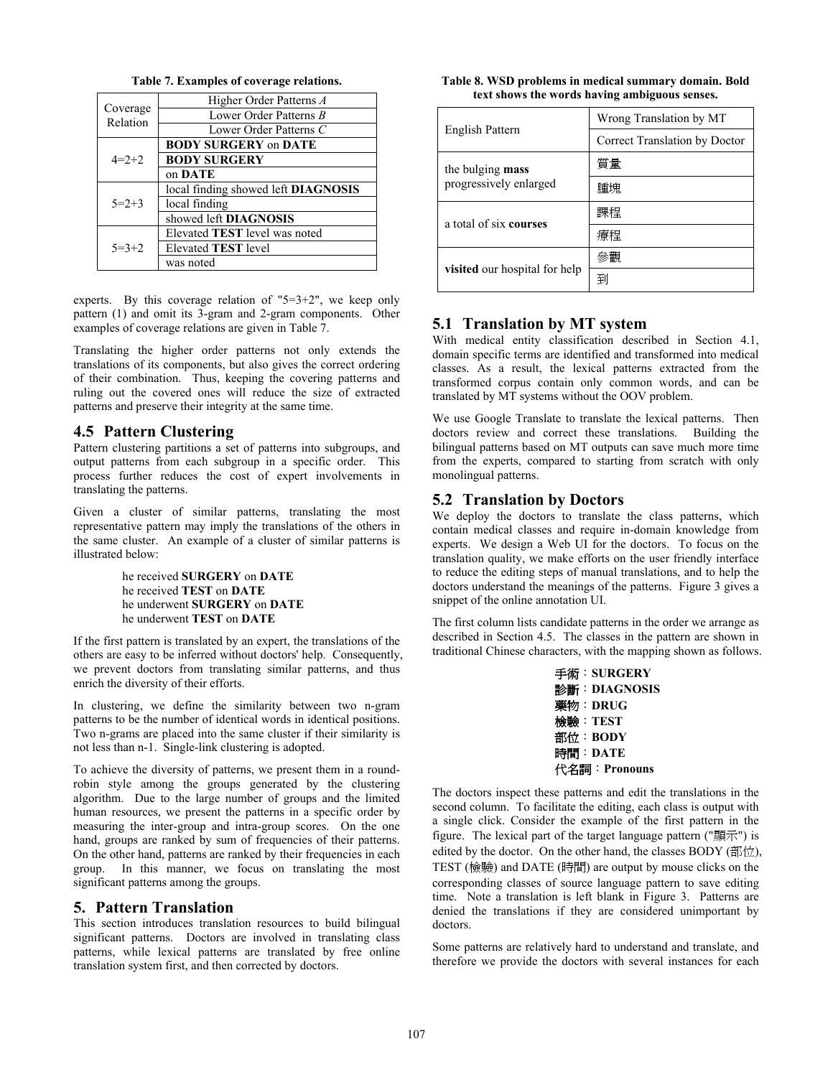**Table 7. Examples of coverage relations.** 

|                      | Higher Order Patterns A                    |  |
|----------------------|--------------------------------------------|--|
| Coverage<br>Relation | Lower Order Patterns B                     |  |
|                      | Lower Order Patterns C                     |  |
|                      | <b>BODY SURGERY on DATE</b>                |  |
| $4=2+2$              | <b>BODY SURGERY</b>                        |  |
|                      | on DATE                                    |  |
|                      | local finding showed left <b>DIAGNOSIS</b> |  |
| $5=2+3$              | local finding                              |  |
|                      | showed left <b>DIAGNOSIS</b>               |  |
|                      | Elevated TEST level was noted              |  |
| $5=3+2$              | Elevated <b>TEST</b> level                 |  |
|                      | was noted                                  |  |

experts. By this coverage relation of "5=3+2", we keep only pattern (1) and omit its 3-gram and 2-gram components. Other examples of coverage relations are given in Table 7.

Translating the higher order patterns not only extends the translations of its components, but also gives the correct ordering of their combination. Thus, keeping the covering patterns and ruling out the covered ones will reduce the size of extracted patterns and preserve their integrity at the same time.

### **4.5 Pattern Clustering**

Pattern clustering partitions a set of patterns into subgroups, and output patterns from each subgroup in a specific order. This process further reduces the cost of expert involvements in translating the patterns.

Given a cluster of similar patterns, translating the most representative pattern may imply the translations of the others in the same cluster. An example of a cluster of similar patterns is illustrated below:

> he received **SURGERY** on **DATE** he received **TEST** on **DATE** he underwent **SURGERY** on **DATE** he underwent **TEST** on **DATE**

If the first pattern is translated by an expert, the translations of the others are easy to be inferred without doctors' help. Consequently, we prevent doctors from translating similar patterns, and thus enrich the diversity of their efforts.

In clustering, we define the similarity between two n-gram patterns to be the number of identical words in identical positions. Two n-grams are placed into the same cluster if their similarity is not less than n-1. Single-link clustering is adopted.

To achieve the diversity of patterns, we present them in a roundrobin style among the groups generated by the clustering algorithm. Due to the large number of groups and the limited human resources, we present the patterns in a specific order by measuring the inter-group and intra-group scores. On the one hand, groups are ranked by sum of frequencies of their patterns. On the other hand, patterns are ranked by their frequencies in each group. In this manner, we focus on translating the most significant patterns among the groups.

# **5. Pattern Translation**

This section introduces translation resources to build bilingual significant patterns. Doctors are involved in translating class patterns, while lexical patterns are translated by free online translation system first, and then corrected by doctors.

**Table 8. WSD problems in medical summary domain. Bold text shows the words having ambiguous senses.** 

|                               | Wrong Translation by MT       |  |
|-------------------------------|-------------------------------|--|
| English Pattern               | Correct Translation by Doctor |  |
| the bulging mass              | 質量                            |  |
| progressively enlarged        | 腫塊                            |  |
| a total of six courses        | 課程                            |  |
|                               | 瘠程                            |  |
|                               |                               |  |
| visited our hospital for help | 到                             |  |

# **5.1 Translation by MT system**

With medical entity classification described in Section 4.1, domain specific terms are identified and transformed into medical classes. As a result, the lexical patterns extracted from the transformed corpus contain only common words, and can be translated by MT systems without the OOV problem.

We use Google Translate to translate the lexical patterns. Then doctors review and correct these translations. Building the bilingual patterns based on MT outputs can save much more time from the experts, compared to starting from scratch with only monolingual patterns.

# **5.2 Translation by Doctors**

We deploy the doctors to translate the class patterns, which contain medical classes and require in-domain knowledge from experts. We design a Web UI for the doctors. To focus on the translation quality, we make efforts on the user friendly interface to reduce the editing steps of manual translations, and to help the doctors understand the meanings of the patterns. Figure 3 gives a snippet of the online annotation UI.

The first column lists candidate patterns in the order we arrange as described in Section 4.5. The classes in the pattern are shown in traditional Chinese characters, with the mapping shown as follows.

|  | 手術:SURGERY    |
|--|---------------|
|  | 診斷:DIAGNOSIS  |
|  | 藥物:DRUG       |
|  | 檢驗:TEST       |
|  | 部位: BODY      |
|  | 時間:DATE       |
|  | 代名詞: Pronouns |

The doctors inspect these patterns and edit the translations in the second column. To facilitate the editing, each class is output with a single click. Consider the example of the first pattern in the figure. The lexical part of the target language pattern ("顯示") is edited by the doctor. On the other hand, the classes BODY (部位), TEST (檢驗) and DATE (時間) are output by mouse clicks on the corresponding classes of source language pattern to save editing time. Note a translation is left blank in Figure 3. Patterns are denied the translations if they are considered unimportant by doctors.

Some patterns are relatively hard to understand and translate, and therefore we provide the doctors with several instances for each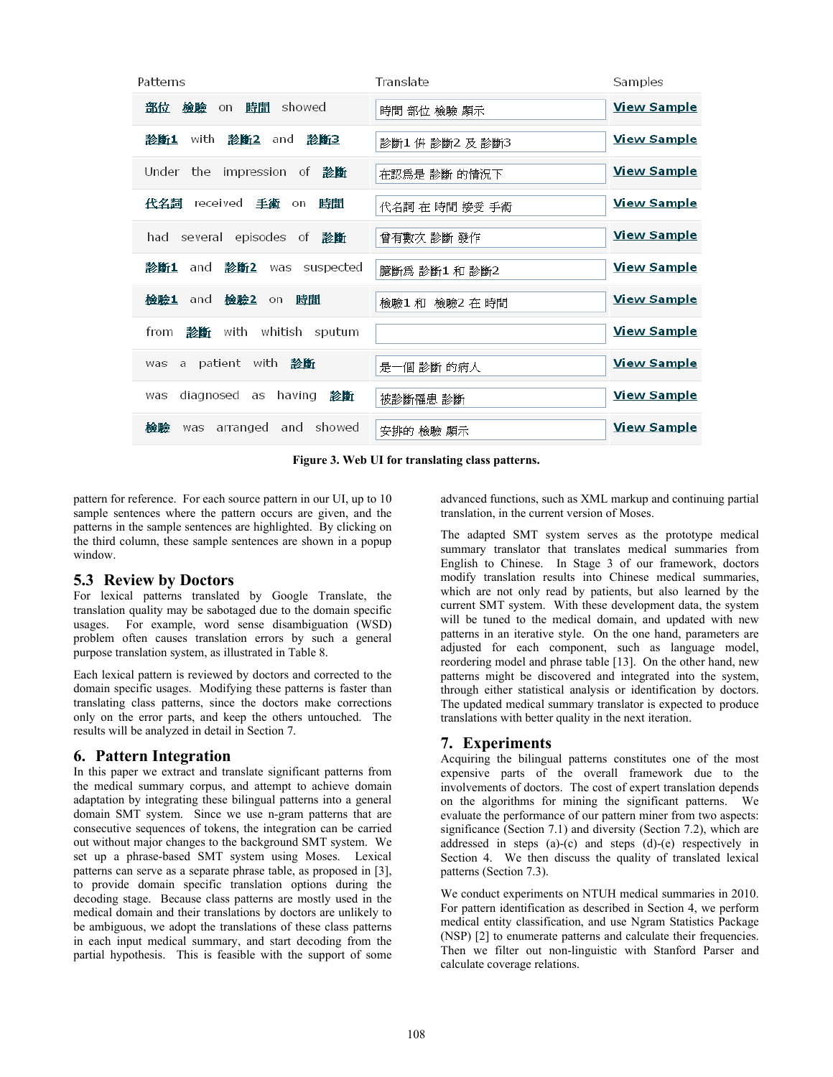| Patterns                                 | Translate       | Samples            |
|------------------------------------------|-----------------|--------------------|
| 部位 检验 on 時間 showed                       | 時間 部位 檢驗 顯示     | <b>View Sample</b> |
| <u> 診断1 with 診断2 and 診断3</u>             | 診斷1 倂 診斷2 及 診斷3 | <b>View Sample</b> |
| Under the impression of 診断               | 在認爲是 診斷 的情況下    | <b>View Sample</b> |
| 代名詞 received 手衛 on<br>時間                 | 代名詞 在 時間 接受 手術  | <b>View Sample</b> |
| had several episodes of <u>診断</u>        | 曾有數次 診斷 發作      | <b>View Sample</b> |
| <u> 診断1</u> and <u>診断2</u> was suspected | 臆斷爲 診斷1 和 診斷2   | <u>View Sample</u> |
| 检驗1L and 檢驗2L on<br>時間                   | 檢驗1和 檢驗2在 時間    | <b>View Sample</b> |
| 診断 with whitish sputum<br>from           |                 | <b>View Sample</b> |
| was a patient with 診断                    | 是一個 診斷 的病人      | <b>View Sample</b> |
| diagnosed as having<br>診斷<br>was         | 被診斷罹患 診斷        | <b>View Sample</b> |
| was arranged and showed<br>槍驗            | 安排的 檢驗 顯示       | <b>View Sample</b> |

**Figure 3. Web UI for translating class patterns.** 

pattern for reference. For each source pattern in our UI, up to 10 sample sentences where the pattern occurs are given, and the patterns in the sample sentences are highlighted. By clicking on the third column, these sample sentences are shown in a popup window.

# **5.3 Review by Doctors**

For lexical patterns translated by Google Translate, the translation quality may be sabotaged due to the domain specific usages. For example, word sense disambiguation (WSD) problem often causes translation errors by such a general purpose translation system, as illustrated in Table 8.

Each lexical pattern is reviewed by doctors and corrected to the domain specific usages. Modifying these patterns is faster than translating class patterns, since the doctors make corrections only on the error parts, and keep the others untouched. The results will be analyzed in detail in Section 7.

# **6. Pattern Integration**

In this paper we extract and translate significant patterns from the medical summary corpus, and attempt to achieve domain adaptation by integrating these bilingual patterns into a general domain SMT system. Since we use n-gram patterns that are consecutive sequences of tokens, the integration can be carried out without major changes to the background SMT system. We set up a phrase-based SMT system using Moses. Lexical patterns can serve as a separate phrase table, as proposed in [3], to provide domain specific translation options during the decoding stage. Because class patterns are mostly used in the medical domain and their translations by doctors are unlikely to be ambiguous, we adopt the translations of these class patterns in each input medical summary, and start decoding from the partial hypothesis. This is feasible with the support of some advanced functions, such as XML markup and continuing partial translation, in the current version of Moses.

The adapted SMT system serves as the prototype medical summary translator that translates medical summaries from English to Chinese. In Stage 3 of our framework, doctors modify translation results into Chinese medical summaries, which are not only read by patients, but also learned by the current SMT system. With these development data, the system will be tuned to the medical domain, and updated with new patterns in an iterative style. On the one hand, parameters are adjusted for each component, such as language model, reordering model and phrase table [13]. On the other hand, new patterns might be discovered and integrated into the system, through either statistical analysis or identification by doctors. The updated medical summary translator is expected to produce translations with better quality in the next iteration.

# **7. Experiments**

Acquiring the bilingual patterns constitutes one of the most expensive parts of the overall framework due to the involvements of doctors. The cost of expert translation depends on the algorithms for mining the significant patterns. We evaluate the performance of our pattern miner from two aspects: significance (Section 7.1) and diversity (Section 7.2), which are addressed in steps (a)-(c) and steps (d)-(e) respectively in Section 4. We then discuss the quality of translated lexical patterns (Section 7.3).

We conduct experiments on NTUH medical summaries in 2010. For pattern identification as described in Section 4, we perform medical entity classification, and use Ngram Statistics Package (NSP) [2] to enumerate patterns and calculate their frequencies. Then we filter out non-linguistic with Stanford Parser and calculate coverage relations.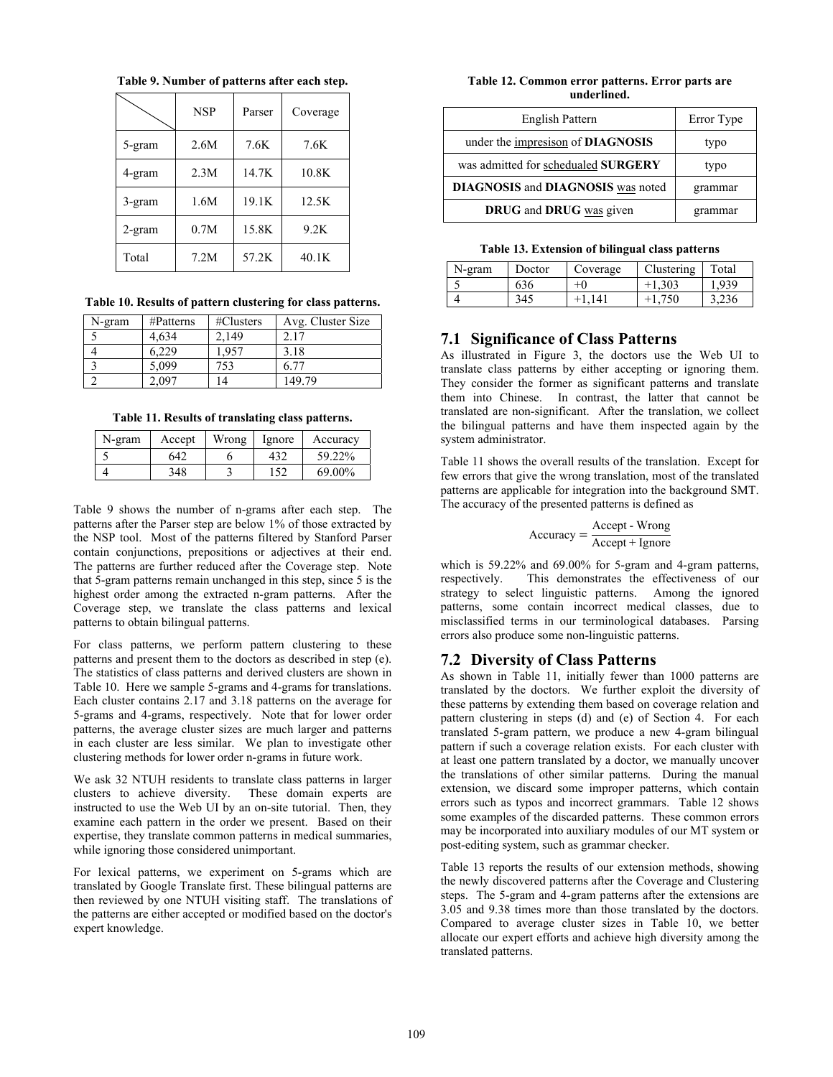**Table 9. Number of patterns after each step.** 

|        | <b>NSP</b> | Parser | Coverage |
|--------|------------|--------|----------|
| 5-gram | 2.6M       | 7.6K   | 7.6K     |
| 4-gram | 2.3M       | 14.7K  | 10.8K    |
| 3-gram | 1.6M       | 19.1K  | 12.5K    |
| 2-gram | 0.7M       | 15.8K  | 9.2K     |
| Total  | 7.2M       | 57.2K  | 40.1K    |

**Table 10. Results of pattern clustering for class patterns.** 

| N-gram | #Patterns | #Clusters | Avg. Cluster Size |
|--------|-----------|-----------|-------------------|
|        | 4,634     | 2.149     | 2.17              |
|        | 6.229     | 1.957     | 3.18              |
|        | 5.099     | 753       | 6 77              |
|        | 2.097     | 14        | 149.79            |

**Table 11. Results of translating class patterns.** 

| N-gram | Accept | Wrong | lgnore | Accuracy |
|--------|--------|-------|--------|----------|
|        | 642    |       | 432    | 59.22%   |
|        | 348    |       | 152    | 69.00%   |

Table 9 shows the number of n-grams after each step. The patterns after the Parser step are below 1% of those extracted by the NSP tool. Most of the patterns filtered by Stanford Parser contain conjunctions, prepositions or adjectives at their end. The patterns are further reduced after the Coverage step. Note that 5-gram patterns remain unchanged in this step, since 5 is the highest order among the extracted n-gram patterns. After the Coverage step, we translate the class patterns and lexical patterns to obtain bilingual patterns.

For class patterns, we perform pattern clustering to these patterns and present them to the doctors as described in step (e). The statistics of class patterns and derived clusters are shown in Table 10. Here we sample 5-grams and 4-grams for translations. Each cluster contains 2.17 and 3.18 patterns on the average for 5-grams and 4-grams, respectively. Note that for lower order patterns, the average cluster sizes are much larger and patterns in each cluster are less similar. We plan to investigate other clustering methods for lower order n-grams in future work.

We ask 32 NTUH residents to translate class patterns in larger clusters to achieve diversity. These domain experts are instructed to use the Web UI by an on-site tutorial. Then, they examine each pattern in the order we present. Based on their expertise, they translate common patterns in medical summaries, while ignoring those considered unimportant.

For lexical patterns, we experiment on 5-grams which are translated by Google Translate first. These bilingual patterns are then reviewed by one NTUH visiting staff. The translations of the patterns are either accepted or modified based on the doctor's expert knowledge.

**Table 12. Common error patterns. Error parts are underlined.** 

| English Pattern                                 | Error Type |
|-------------------------------------------------|------------|
| under the <i>impression</i> of <b>DIAGNOSIS</b> | typo       |
| was admitted for schedualed SURGERY             | typo       |
| <b>DIAGNOSIS</b> and <b>DIAGNOSIS</b> was noted | grammar    |
| DRUG and DRUG was given                         | grammar    |

### **Table 13. Extension of bilingual class patterns**

| N-gram | Doctor | Coverage | Clustering | Total |
|--------|--------|----------|------------|-------|
|        | 636    | $+0$     | $+1.303$   | .939  |
|        | 345    |          | 750        | 3.236 |

# **7.1 Significance of Class Patterns**

As illustrated in Figure 3, the doctors use the Web UI to translate class patterns by either accepting or ignoring them. They consider the former as significant patterns and translate them into Chinese. In contrast, the latter that cannot be translated are non-significant. After the translation, we collect the bilingual patterns and have them inspected again by the system administrator.

Table 11 shows the overall results of the translation. Except for few errors that give the wrong translation, most of the translated patterns are applicable for integration into the background SMT. The accuracy of the presented patterns is defined as

$$
Accuracy = \frac{Accept - Wrong}{Accept + Ignore}
$$

which is 59.22% and 69.00% for 5-gram and 4-gram patterns, respectively. This demonstrates the effectiveness of our strategy to select linguistic patterns. Among the ignored patterns, some contain incorrect medical classes, due to misclassified terms in our terminological databases. Parsing errors also produce some non-linguistic patterns.

# **7.2 Diversity of Class Patterns**

As shown in Table 11, initially fewer than 1000 patterns are translated by the doctors. We further exploit the diversity of these patterns by extending them based on coverage relation and pattern clustering in steps (d) and (e) of Section 4. For each translated 5-gram pattern, we produce a new 4-gram bilingual pattern if such a coverage relation exists. For each cluster with at least one pattern translated by a doctor, we manually uncover the translations of other similar patterns. During the manual extension, we discard some improper patterns, which contain errors such as typos and incorrect grammars. Table 12 shows some examples of the discarded patterns. These common errors may be incorporated into auxiliary modules of our MT system or post-editing system, such as grammar checker.

Table 13 reports the results of our extension methods, showing the newly discovered patterns after the Coverage and Clustering steps. The 5-gram and 4-gram patterns after the extensions are 3.05 and 9.38 times more than those translated by the doctors. Compared to average cluster sizes in Table 10, we better allocate our expert efforts and achieve high diversity among the translated patterns.